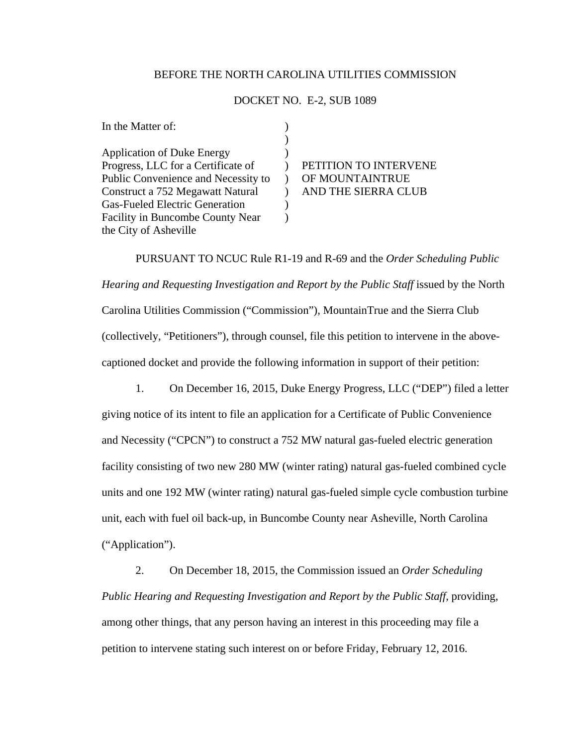## BEFORE THE NORTH CAROLINA UTILITIES COMMISSION

## DOCKET NO. E-2, SUB 1089

| In the Matter of:                       |                       |
|-----------------------------------------|-----------------------|
|                                         |                       |
| <b>Application of Duke Energy</b>       |                       |
| Progress, LLC for a Certificate of      | PETITION TO INTERVENE |
| Public Convenience and Necessity to     | OF MOUNTAINTRUE       |
| Construct a 752 Megawatt Natural        | AND THE SIERRA CLUB   |
| <b>Gas-Fueled Electric Generation</b>   |                       |
| <b>Facility in Buncombe County Near</b> |                       |
| the City of Asheville                   |                       |

PURSUANT TO NCUC Rule R1-19 and R-69 and the *Order Scheduling Public Hearing and Requesting Investigation and Report by the Public Staff* issued by the North Carolina Utilities Commission ("Commission"), MountainTrue and the Sierra Club (collectively, "Petitioners"), through counsel, file this petition to intervene in the abovecaptioned docket and provide the following information in support of their petition:

1. On December 16, 2015, Duke Energy Progress, LLC ("DEP") filed a letter

giving notice of its intent to file an application for a Certificate of Public Convenience and Necessity ("CPCN") to construct a 752 MW natural gas-fueled electric generation facility consisting of two new 280 MW (winter rating) natural gas-fueled combined cycle units and one 192 MW (winter rating) natural gas-fueled simple cycle combustion turbine unit, each with fuel oil back-up, in Buncombe County near Asheville, North Carolina ("Application").

2. On December 18, 2015, the Commission issued an *Order Scheduling Public Hearing and Requesting Investigation and Report by the Public Staff, providing,* among other things, that any person having an interest in this proceeding may file a petition to intervene stating such interest on or before Friday, February 12, 2016.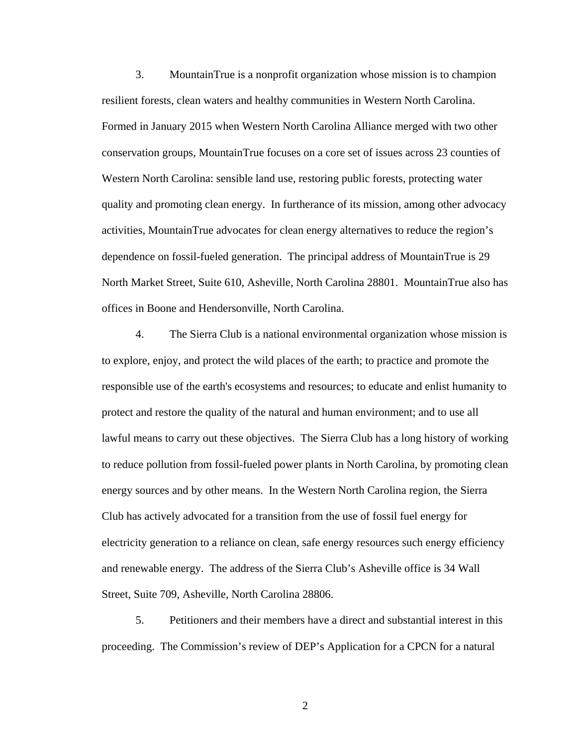3. MountainTrue is a nonprofit organization whose mission is to champion resilient forests, clean waters and healthy communities in Western North Carolina. Formed in January 2015 when Western North Carolina Alliance merged with two other conservation groups, MountainTrue focuses on a core set of issues across 23 counties of Western North Carolina: sensible land use, restoring public forests, protecting water quality and promoting clean energy. In furtherance of its mission, among other advocacy activities, MountainTrue advocates for clean energy alternatives to reduce the region's dependence on fossil-fueled generation. The principal address of MountainTrue is 29 North Market Street, Suite 610, Asheville, North Carolina 28801. MountainTrue also has offices in Boone and Hendersonville, North Carolina.

4. The Sierra Club is a national environmental organization whose mission is to explore, enjoy, and protect the wild places of the earth; to practice and promote the responsible use of the earth's ecosystems and resources; to educate and enlist humanity to protect and restore the quality of the natural and human environment; and to use all lawful means to carry out these objectives. The Sierra Club has a long history of working to reduce pollution from fossil-fueled power plants in North Carolina, by promoting clean energy sources and by other means. In the Western North Carolina region, the Sierra Club has actively advocated for a transition from the use of fossil fuel energy for electricity generation to a reliance on clean, safe energy resources such energy efficiency and renewable energy. The address of the Sierra Club's Asheville office is 34 Wall Street, Suite 709, Asheville, North Carolina 28806.

5. Petitioners and their members have a direct and substantial interest in this proceeding. The Commission's review of DEP's Application for a CPCN for a natural

2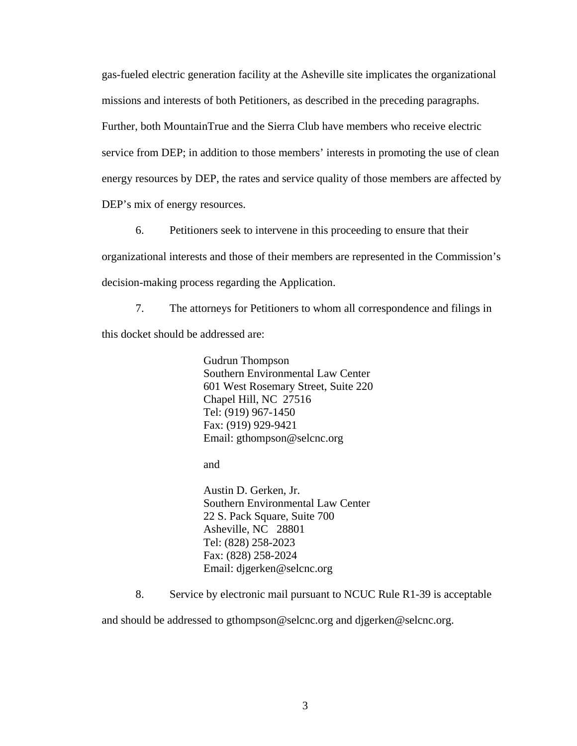gas-fueled electric generation facility at the Asheville site implicates the organizational missions and interests of both Petitioners, as described in the preceding paragraphs. Further, both MountainTrue and the Sierra Club have members who receive electric service from DEP; in addition to those members' interests in promoting the use of clean energy resources by DEP, the rates and service quality of those members are affected by DEP's mix of energy resources.

6. Petitioners seek to intervene in this proceeding to ensure that their organizational interests and those of their members are represented in the Commission's decision-making process regarding the Application.

7. The attorneys for Petitioners to whom all correspondence and filings in this docket should be addressed are:

> Gudrun Thompson Southern Environmental Law Center 601 West Rosemary Street, Suite 220 Chapel Hill, NC 27516 Tel: (919) 967-1450 Fax: (919) 929-9421 Email: gthompson@selcnc.org

and

Austin D. Gerken, Jr. Southern Environmental Law Center 22 S. Pack Square, Suite 700 Asheville, NC 28801 Tel: (828) 258-2023 Fax: (828) 258-2024 Email: djgerken@selcnc.org

8. Service by electronic mail pursuant to NCUC Rule R1-39 is acceptable

and should be addressed to gthompson@selcnc.org and djgerken@selcnc.org.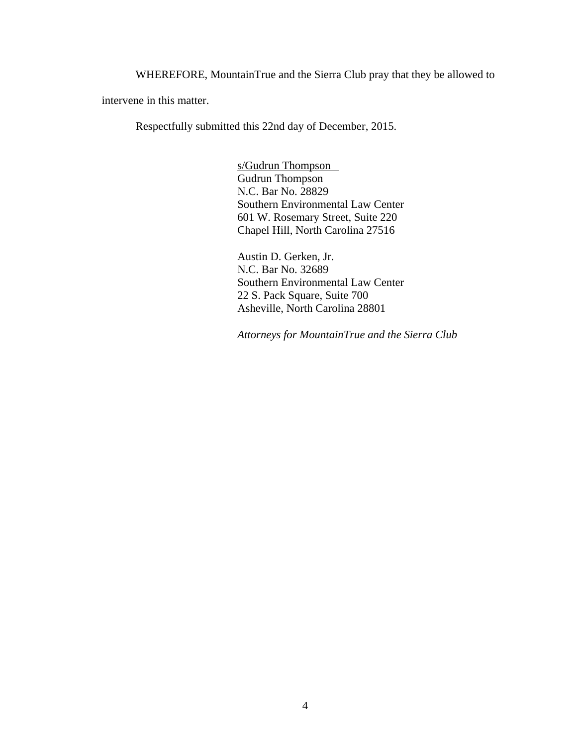WHEREFORE, MountainTrue and the Sierra Club pray that they be allowed to

intervene in this matter.

Respectfully submitted this 22nd day of December, 2015.

s/Gudrun Thompson Gudrun Thompson N.C. Bar No. 28829 Southern Environmental Law Center 601 W. Rosemary Street, Suite 220 Chapel Hill, North Carolina 27516

Austin D. Gerken, Jr. N.C. Bar No. 32689 Southern Environmental Law Center 22 S. Pack Square, Suite 700 Asheville, North Carolina 28801

*Attorneys for MountainTrue and the Sierra Club*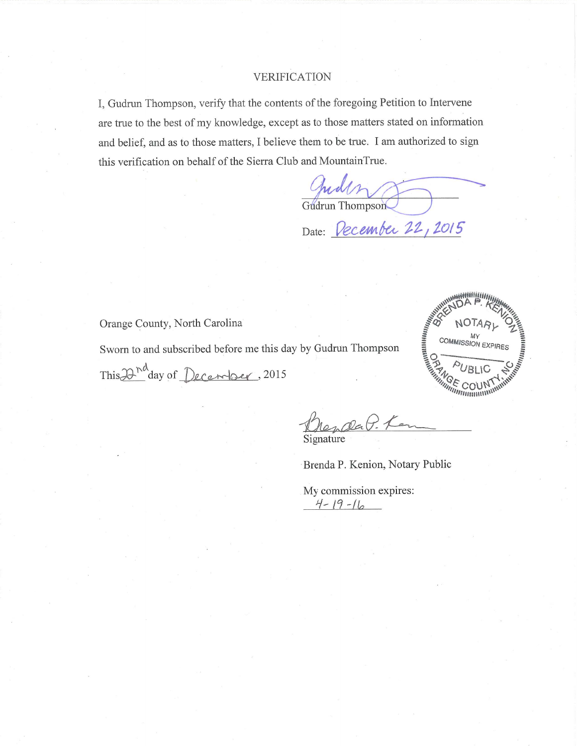## VERIFICATION

I, Gudrun Thompson, verify that the contents of the foregoing Petition to Intervene are true to the best of my knowledge, except as to those matters stated on information and belief, and as to those matters, I believe them to be true. I am authorized to sign this verification on behalf of the Sierra Club and MountainTrue.

Gudrun Thompson

Date: *December 22, 2015* 

Orange County, North Carolina

Sworn to and subscribed before me this day by Gudrun Thompson

This 2<sup>nd</sup> day of December, 2015



Signature

Brenda P. Kenion, Notary Public

My commission expires:  $4 - 19 - 16$